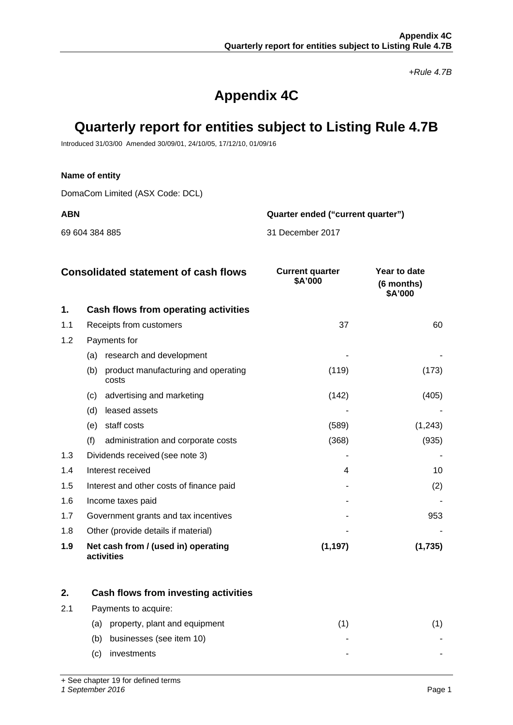*+Rule 4.7B*

# **Appendix 4C**

# **Quarterly report for entities subject to Listing Rule 4.7B**

Introduced 31/03/00 Amended 30/09/01, 24/10/05, 17/12/10, 01/09/16

## **Name of entity**

DomaCom Limited (ASX Code: DCL)

**ABN Quarter ended ("current quarter")**

69 604 384 885 31 December 2017

| <b>Consolidated statement of cash flows</b> |                                                     | <b>Current quarter</b><br>\$A'000 | Year to date<br>(6 months)<br>\$A'000 |
|---------------------------------------------|-----------------------------------------------------|-----------------------------------|---------------------------------------|
| 1.                                          | Cash flows from operating activities                |                                   |                                       |
| 1.1                                         | Receipts from customers                             | 37                                | 60                                    |
| 1.2                                         | Payments for                                        |                                   |                                       |
|                                             | research and development<br>(a)                     |                                   |                                       |
|                                             | (b)<br>product manufacturing and operating<br>costs | (119)                             | (173)                                 |
|                                             | advertising and marketing<br>(C)                    | (142)                             | (405)                                 |
|                                             | leased assets<br>(d)                                |                                   |                                       |
|                                             | staff costs<br>(e)                                  | (589)                             | (1,243)                               |
|                                             | (f)<br>administration and corporate costs           | (368)                             | (935)                                 |
| 1.3                                         | Dividends received (see note 3)                     |                                   |                                       |
| 1.4                                         | Interest received                                   | 4                                 | 10                                    |
| 1.5                                         | Interest and other costs of finance paid            |                                   | (2)                                   |
| 1.6                                         | Income taxes paid                                   |                                   |                                       |
| 1.7                                         | Government grants and tax incentives                |                                   | 953                                   |
| 1.8                                         | Other (provide details if material)                 |                                   |                                       |
| 1.9                                         | Net cash from / (used in) operating<br>activities   | (1, 197)                          | (1,735)                               |

|     |                                 | Cash flows from investing activities |  |
|-----|---------------------------------|--------------------------------------|--|
| 2.1 | Payments to acquire:            |                                      |  |
|     | (a)                             | property, plant and equipment        |  |
|     | businesses (see item 10)<br>(b) |                                      |  |
|     | investments<br>(C)              |                                      |  |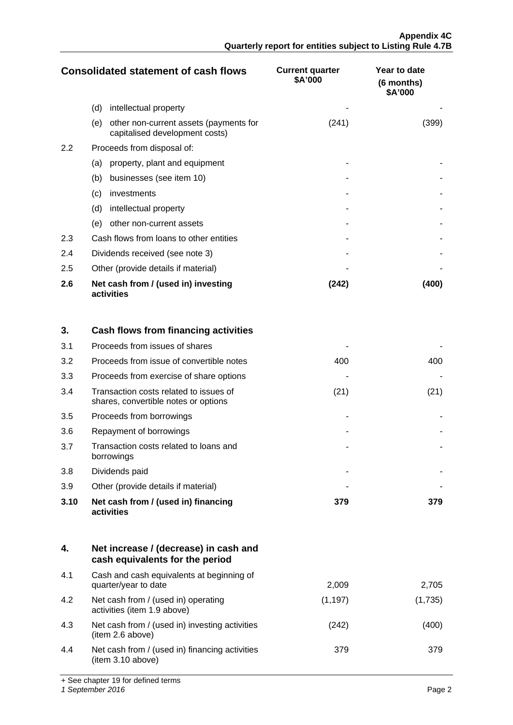| <b>Consolidated statement of cash flows</b> |                                                                                 | <b>Current quarter</b><br>\$A'000 | Year to date<br>(6 months)<br>\$A'000 |
|---------------------------------------------|---------------------------------------------------------------------------------|-----------------------------------|---------------------------------------|
|                                             | (d)<br>intellectual property                                                    |                                   |                                       |
|                                             | other non-current assets (payments for<br>(e)<br>capitalised development costs) | (241)                             | (399)                                 |
| $2.2\phantom{0}$                            | Proceeds from disposal of:                                                      |                                   |                                       |
|                                             | property, plant and equipment<br>(a)                                            |                                   |                                       |
|                                             | businesses (see item 10)<br>(b)                                                 |                                   |                                       |
|                                             | (c)<br>investments                                                              |                                   |                                       |
|                                             | (d)<br>intellectual property                                                    |                                   |                                       |
|                                             | other non-current assets<br>(e)                                                 |                                   |                                       |
| 2.3                                         | Cash flows from loans to other entities                                         |                                   |                                       |
| 2.4                                         | Dividends received (see note 3)                                                 |                                   |                                       |
| 2.5                                         | Other (provide details if material)                                             |                                   |                                       |
| 2.6                                         | Net cash from / (used in) investing<br>activities                               | (242)                             | (400)                                 |

| 3.   | Cash flows from financing activities                                           |      |      |
|------|--------------------------------------------------------------------------------|------|------|
| 3.1  | Proceeds from issues of shares                                                 |      |      |
| 3.2  | Proceeds from issue of convertible notes                                       | 400  | 400  |
| 3.3  | Proceeds from exercise of share options                                        |      |      |
| 3.4  | Transaction costs related to issues of<br>shares, convertible notes or options | (21) | (21) |
| 3.5  | Proceeds from borrowings                                                       |      |      |
| 3.6  | Repayment of borrowings                                                        |      |      |
| 3.7  | Transaction costs related to loans and<br>borrowings                           |      |      |
| 3.8  | Dividends paid                                                                 |      |      |
| 3.9  | Other (provide details if material)                                            |      |      |
| 3.10 | Net cash from / (used in) financing<br>activities                              | 379  | 379  |

| 4.  | Net increase / (decrease) in cash and<br>cash equivalents for the period |          |         |
|-----|--------------------------------------------------------------------------|----------|---------|
| 4.1 | Cash and cash equivalents at beginning of<br>quarter/year to date        | 2,009    | 2,705   |
| 4.2 | Net cash from / (used in) operating<br>activities (item 1.9 above)       | (1, 197) | (1,735) |
| 4.3 | Net cash from / (used in) investing activities<br>(item 2.6 above)       | (242)    | .400    |
| 4.4 | Net cash from / (used in) financing activities<br>(item 3.10 above)      | 379      | 379     |

+ See chapter 19 for defined terms

*1 September 2016* Page 2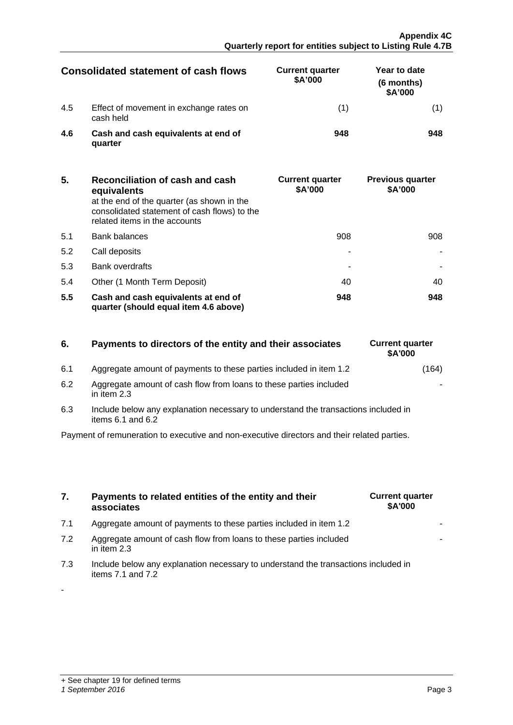-

| Consolidated statement of cash flows |                                                      | <b>Current quarter</b><br>\$A'000 | Year to date<br>(6 months)<br>\$A'000 |
|--------------------------------------|------------------------------------------------------|-----------------------------------|---------------------------------------|
| 4.5                                  | Effect of movement in exchange rates on<br>cash held |                                   |                                       |
| 46                                   | Cash and cash equivalents at end of<br>quarter       | 948                               |                                       |

| 5.  | Reconciliation of cash and cash<br>equivalents<br>at the end of the quarter (as shown in the<br>consolidated statement of cash flows) to the<br>related items in the accounts | <b>Current quarter</b><br>\$A'000 | <b>Previous quarter</b><br>\$A'000 |
|-----|-------------------------------------------------------------------------------------------------------------------------------------------------------------------------------|-----------------------------------|------------------------------------|
| 5.1 | <b>Bank balances</b>                                                                                                                                                          | 908                               | 908.                               |
| 5.2 | Call deposits                                                                                                                                                                 |                                   |                                    |
| 5.3 | <b>Bank overdrafts</b>                                                                                                                                                        |                                   |                                    |
| 5.4 | Other (1 Month Term Deposit)                                                                                                                                                  | 40                                |                                    |
| 5.5 | Cash and cash equivalents at end of<br>quarter (should equal item 4.6 above)                                                                                                  | 948                               | 948                                |

# **6.** Payments to directors of the entity and their associates

- 6.1 Aggregate amount of payments to these parties included in item 1.2
- 6.2 Aggregate amount of cash flow from loans to these parties included in item 2.3
- 6.3 Include below any explanation necessary to understand the transactions included in items  $6.1$  and  $6.2$

Payment of remuneration to executive and non-executive directors and their related parties.

- **7. Payments to related entities of the entity and their associates**
- 7.1 Aggregate amount of payments to these parties included in item 1.2
- 7.2 Aggregate amount of cash flow from loans to these parties included in item 2.3
- 7.3 Include below any explanation necessary to understand the transactions included in items 7.1 and 7.2

| <b>Current quarter</b><br>\$A'000 |  |
|-----------------------------------|--|
|                                   |  |
|                                   |  |
|                                   |  |

| <b>Current quarter</b><br><b>\$A'000</b> |       |
|------------------------------------------|-------|
|                                          | (164) |
|                                          |       |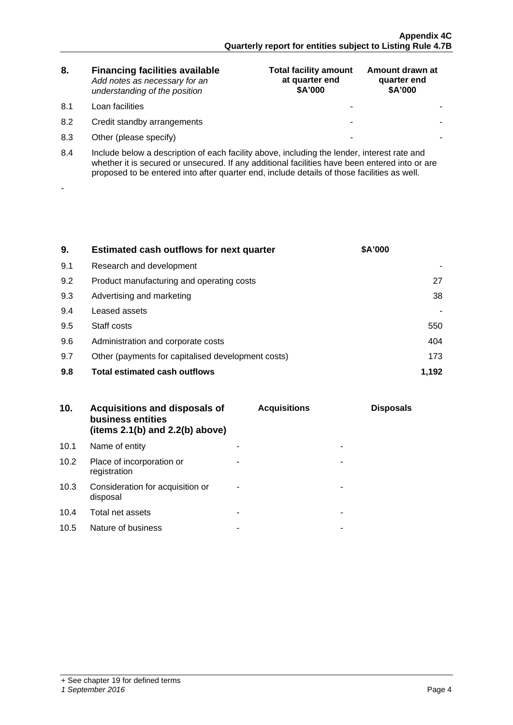| 8. | <b>Financing facilities available</b> |
|----|---------------------------------------|
|    | Add notes as necessary for an         |
|    | understanding of the position         |

8.1 Loan facilities

-

- 8.2 Credit standby arrangements
- 8.3 Other (please specify)

| <b>Total facility amount</b><br>at quarter end<br>\$A'000 | Amount drawn at<br>quarter end<br>\$A'000 |
|-----------------------------------------------------------|-------------------------------------------|
|                                                           |                                           |
|                                                           |                                           |
|                                                           |                                           |

8.4 Include below a description of each facility above, including the lender, interest rate and whether it is secured or unsecured. If any additional facilities have been entered into or are proposed to be entered into after quarter end, include details of those facilities as well.

| 9.  | <b>Estimated cash outflows for next quarter</b>    | <b>\$A'000</b> |
|-----|----------------------------------------------------|----------------|
| 9.1 | Research and development                           |                |
| 9.2 | Product manufacturing and operating costs          |                |
| 9.3 | Advertising and marketing                          | 38             |
| 9.4 | Leased assets                                      |                |
| 9.5 | Staff costs                                        | 550            |
| 9.6 | Administration and corporate costs                 | 404            |
| 9.7 | Other (payments for capitalised development costs) | 173            |
| 9.8 | <b>Total estimated cash outflows</b>               |                |

|      | Acquisitions and disposals of<br>business entities<br>(items $2.1(b)$ and $2.2(b)$ above) | <b>Acquisitions</b> | <b>Disposals</b> |
|------|-------------------------------------------------------------------------------------------|---------------------|------------------|
| 10.1 | Name of entity                                                                            |                     |                  |
| 10.2 | Place of incorporation or<br>registration                                                 |                     |                  |
| 10.3 | Consideration for acquisition or<br>disposal                                              |                     |                  |
|      | 10.4 Total net assets                                                                     |                     |                  |
| 10.5 | Nature of business                                                                        |                     |                  |